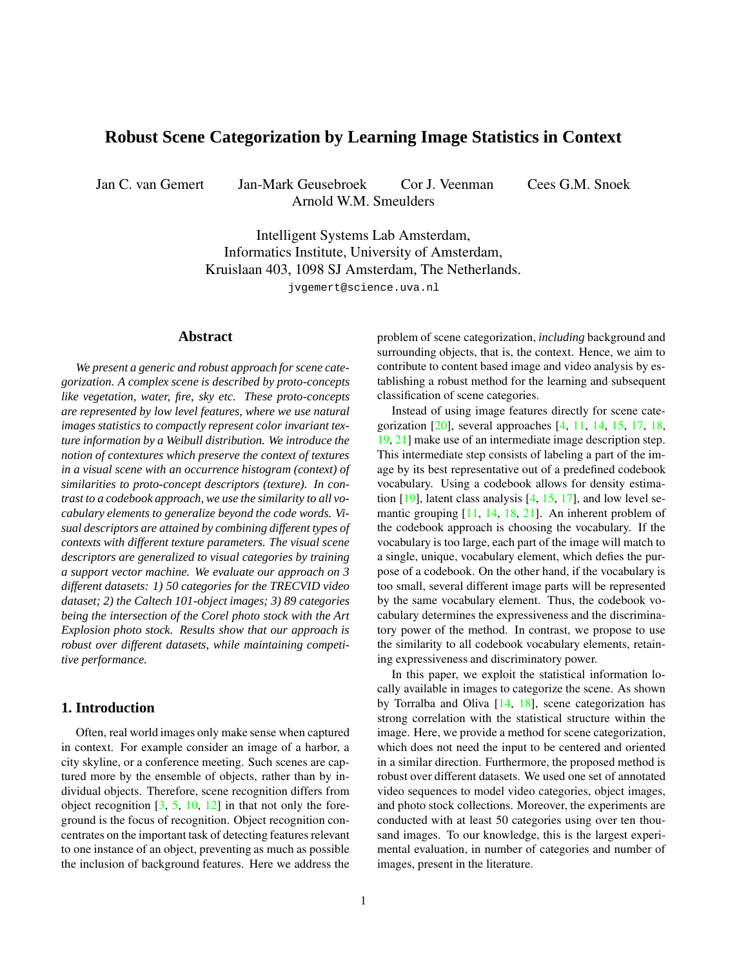# <span id="page-0-0"></span>**Robust Scene Categorization by Learning Image Statistics in Context**

Jan C. van Gemert Jan-Mark Geusebroek Cor J. Veenman Cees G.M. Snoek Arnold W.M. Smeulders

Intelligent Systems Lab Amsterdam, Informatics Institute, University of Amsterdam, Kruislaan 403, 1098 SJ Amsterdam, The Netherlands.

jvgemert@science.uva.nl

# **Abstract**

*We present a generic and robust approach for scene categorization. A complex scene is described by proto-concepts like vegetation, water, fire, sky etc. These proto-concepts are represented by low level features, where we use natural images statistics to compactly represent color invariant texture information by a Weibull distribution. We introduce the notion of contextures which preserve the context of textures in a visual scene with an occurrence histogram (context) of similarities to proto-concept descriptors (texture). In contrast to a codebook approach, we use the similarity to all vocabulary elements to generalize beyond the code words. Visual descriptors are attained by combining different types of contexts with different texture parameters. The visual scene descriptors are generalized to visual categories by training a support vector machine. We evaluate our approach on 3 different datasets: 1) 50 categories for the TRECVID video dataset; 2) the Caltech 101-object images; 3) 89 categories being the intersection of the Corel photo stock with the Art Explosion photo stock. Results show that our approach is robust over different datasets, while maintaining competitive performance.*

# **1. Introduction**

Often, real world images only make sense when captured in context. For example consider an image of a harbor, a city skyline, or a conference meeting. Such scenes are captured more by the ensemble of objects, rather than by individual objects. Therefore, scene recognition differs from object recognition  $[3, 5, 10, 12]$  $[3, 5, 10, 12]$  $[3, 5, 10, 12]$  $[3, 5, 10, 12]$  $[3, 5, 10, 12]$  $[3, 5, 10, 12]$  $[3, 5, 10, 12]$  in that not only the foreground is the focus of recognition. Object recognition concentrates on the important task of detecting features relevant to one instance of an object, preventing as much as possible the inclusion of background features. Here we address the problem of scene categorization, *including* background and surrounding objects, that is, the context. Hence, we aim to contribute to content based image and video analysis by establishing a robust method for the learning and subsequent classification of scene categories.

Instead of using image features directly for scene categorization [\[20\]](#page-7-4), several approaches [\[4,](#page-7-5) [11,](#page-7-6) [14,](#page-7-7) [15,](#page-7-8) [17,](#page-7-9) [18,](#page-7-10) [19,](#page-7-11) [21\]](#page-7-12) make use of an intermediate image description step. This intermediate step consists of labeling a part of the image by its best representative out of a predefined codebook vocabulary. Using a codebook allows for density estimation  $[19]$ , latent class analysis  $[4, 15, 17]$  $[4, 15, 17]$  $[4, 15, 17]$  $[4, 15, 17]$  $[4, 15, 17]$ , and low level se-mantic grouping [\[11,](#page-7-6) [14,](#page-7-7) [18,](#page-7-10) [21\]](#page-7-12). An inherent problem of the codebook approach is choosing the vocabulary. If the vocabulary is too large, each part of the image will match to a single, unique, vocabulary element, which defies the purpose of a codebook. On the other hand, if the vocabulary is too small, several different image parts will be represented by the same vocabulary element. Thus, the codebook vocabulary determines the expressiveness and the discriminatory power of the method. In contrast, we propose to use the similarity to all codebook vocabulary elements, retaining expressiveness and discriminatory power.

In this paper, we exploit the statistical information locally available in images to categorize the scene. As shown by Torralba and Oliva [\[14,](#page-7-7) [18\]](#page-7-10), scene categorization has strong correlation with the statistical structure within the image. Here, we provide a method for scene categorization, which does not need the input to be centered and oriented in a similar direction. Furthermore, the proposed method is robust over different datasets. We used one set of annotated video sequences to model video categories, object images, and photo stock collections. Moreover, the experiments are conducted with at least 50 categories using over ten thousand images. To our knowledge, this is the largest experimental evaluation, in number of categories and number of images, present in the literature.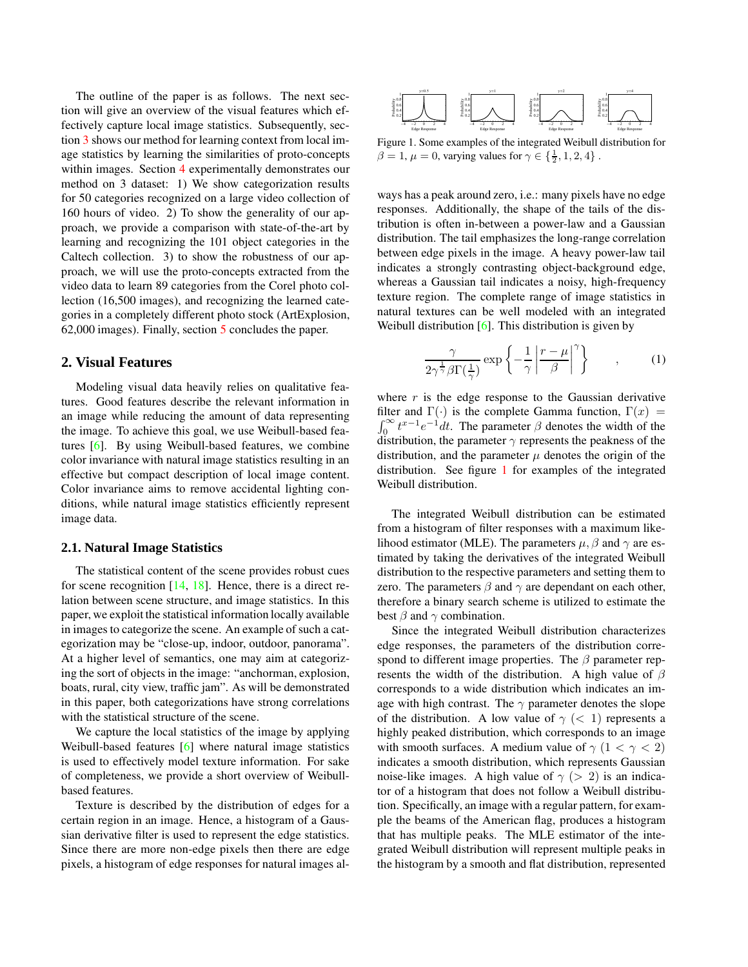<span id="page-1-1"></span>The outline of the paper is as follows. The next section will give an overview of the visual features which effectively capture local image statistics. Subsequently, section [3](#page-2-0) shows our method for learning context from local image statistics by learning the similarities of proto-concepts within images. Section [4](#page-4-0) experimentally demonstrates our method on 3 dataset: 1) We show categorization results for 50 categories recognized on a large video collection of 160 hours of video. 2) To show the generality of our approach, we provide a comparison with state-of-the-art by learning and recognizing the 101 object categories in the Caltech collection. 3) to show the robustness of our approach, we will use the proto-concepts extracted from the video data to learn 89 categories from the Corel photo collection (16,500 images), and recognizing the learned categories in a completely different photo stock (ArtExplosion, 62,000 images). Finally, section [5](#page-6-0) concludes the paper.

## **2. Visual Features**

Modeling visual data heavily relies on qualitative features. Good features describe the relevant information in an image while reducing the amount of data representing the image. To achieve this goal, we use Weibull-based features [\[6\]](#page-7-13). By using Weibull-based features, we combine color invariance with natural image statistics resulting in an effective but compact description of local image content. Color invariance aims to remove accidental lighting conditions, while natural image statistics efficiently represent image data.

#### **2.1. Natural Image Statistics**

The statistical content of the scene provides robust cues for scene recognition [\[14,](#page-7-7) [18\]](#page-7-10). Hence, there is a direct relation between scene structure, and image statistics. In this paper, we exploit the statistical information locally available in images to categorize the scene. An example of such a categorization may be "close-up, indoor, outdoor, panorama". At a higher level of semantics, one may aim at categorizing the sort of objects in the image: "anchorman, explosion, boats, rural, city view, traffic jam". As will be demonstrated in this paper, both categorizations have strong correlations with the statistical structure of the scene.

We capture the local statistics of the image by applying Weibull-based features [\[6\]](#page-7-13) where natural image statistics is used to effectively model texture information. For sake of completeness, we provide a short overview of Weibullbased features.

Texture is described by the distribution of edges for a certain region in an image. Hence, a histogram of a Gaussian derivative filter is used to represent the edge statistics. Since there are more non-edge pixels then there are edge pixels, a histogram of edge responses for natural images al-



<span id="page-1-0"></span>Figure 1. Some examples of the integrated Weibull distribution for  $\beta = 1, \mu = 0$ , varying values for  $\gamma \in \{\frac{1}{2}, 1, 2, 4\}$ .

ways has a peak around zero, i.e.: many pixels have no edge responses. Additionally, the shape of the tails of the distribution is often in-between a power-law and a Gaussian distribution. The tail emphasizes the long-range correlation between edge pixels in the image. A heavy power-law tail indicates a strongly contrasting object-background edge, whereas a Gaussian tail indicates a noisy, high-frequency texture region. The complete range of image statistics in natural textures can be well modeled with an integrated Weibull distribution  $[6]$ . This distribution is given by

$$
\frac{\gamma}{2\gamma^{\frac{1}{\gamma}}\beta\Gamma(\frac{1}{\gamma})}\exp\left\{-\frac{1}{\gamma}\left|\frac{r-\mu}{\beta}\right|^{\gamma}\right\}\qquad,\qquad(1)
$$

where  $r$  is the edge response to the Gaussian derivative filter and  $\Gamma(\cdot)$  is the complete Gamma function,  $\Gamma(x)$  =  $\int_{0}^{\infty}$  $\int_0^\infty t^{x-1} e^{-t} dt$ . The parameter  $\beta$  denotes the width of the distribution, the parameter  $\gamma$  represents the peakness of the distribution, and the parameter  $\mu$  denotes the origin of the distribution. See figure [1](#page-1-0) for examples of the integrated Weibull distribution.

The integrated Weibull distribution can be estimated from a histogram of filter responses with a maximum likelihood estimator (MLE). The parameters  $\mu$ ,  $\beta$  and  $\gamma$  are estimated by taking the derivatives of the integrated Weibull distribution to the respective parameters and setting them to zero. The parameters  $\beta$  and  $\gamma$  are dependant on each other, therefore a binary search scheme is utilized to estimate the best  $\beta$  and  $\gamma$  combination.

Since the integrated Weibull distribution characterizes edge responses, the parameters of the distribution correspond to different image properties. The  $\beta$  parameter represents the width of the distribution. A high value of  $\beta$ corresponds to a wide distribution which indicates an image with high contrast. The  $\gamma$  parameter denotes the slope of the distribution. A low value of  $\gamma$  (< 1) represents a highly peaked distribution, which corresponds to an image with smooth surfaces. A medium value of  $\gamma$  (1 <  $\gamma$  < 2) indicates a smooth distribution, which represents Gaussian noise-like images. A high value of  $\gamma$  ( $> 2$ ) is an indicator of a histogram that does not follow a Weibull distribution. Specifically, an image with a regular pattern, for example the beams of the American flag, produces a histogram that has multiple peaks. The MLE estimator of the integrated Weibull distribution will represent multiple peaks in the histogram by a smooth and flat distribution, represented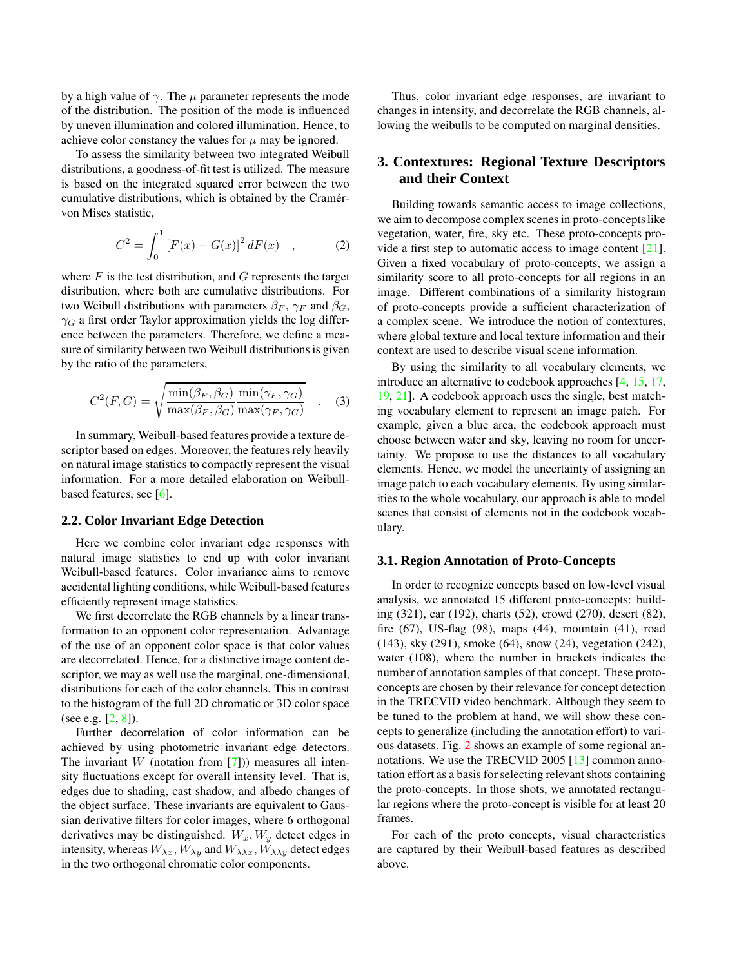<span id="page-2-2"></span>by a high value of  $\gamma$ . The  $\mu$  parameter represents the mode of the distribution. The position of the mode is influenced by uneven illumination and colored illumination. Hence, to achieve color constancy the values for  $\mu$  may be ignored.

<span id="page-2-1"></span>To assess the similarity between two integrated Weibull distributions, a goodness-of-fit test is utilized. The measure is based on the integrated squared error between the two cumulative distributions, which is obtained by the Cramérvon Mises statistic,

$$
C^{2} = \int_{0}^{1} \left[ F(x) - G(x) \right]^{2} dF(x) , \qquad (2)
$$

where  $F$  is the test distribution, and  $G$  represents the target distribution, where both are cumulative distributions. For two Weibull distributions with parameters  $\beta_F$ ,  $\gamma_F$  and  $\beta_G$ ,  $\gamma_G$  a first order Taylor approximation yields the log difference between the parameters. Therefore, we define a measure of similarity between two Weibull distributions is given by the ratio of the parameters,

$$
C^{2}(F,G) = \sqrt{\frac{\min(\beta_F, \beta_G)}{\max(\beta_F, \beta_G)} \frac{\min(\gamma_F, \gamma_G)}{\max(\gamma_F, \gamma_G)}} \quad . \quad (3)
$$

In summary, Weibull-based features provide a texture descriptor based on edges. Moreover, the features rely heavily on natural image statistics to compactly represent the visual information. For a more detailed elaboration on Weibull-based features, see [\[6\]](#page-7-13).

#### **2.2. Color Invariant Edge Detection**

Here we combine color invariant edge responses with natural image statistics to end up with color invariant Weibull-based features. Color invariance aims to remove accidental lighting conditions, while Weibull-based features efficiently represent image statistics.

We first decorrelate the RGB channels by a linear transformation to an opponent color representation. Advantage of the use of an opponent color space is that color values are decorrelated. Hence, for a distinctive image content descriptor, we may as well use the marginal, one-dimensional, distributions for each of the color channels. This in contrast to the histogram of the full 2D chromatic or 3D color space (see e.g.  $[2, 8]$  $[2, 8]$  $[2, 8]$ ).

Further decorrelation of color information can be achieved by using photometric invariant edge detectors. The invariant  $W$  (notation from [\[7\]](#page-7-16))) measures all intensity fluctuations except for overall intensity level. That is, edges due to shading, cast shadow, and albedo changes of the object surface. These invariants are equivalent to Gaussian derivative filters for color images, where 6 orthogonal derivatives may be distinguished.  $W_x, W_y$  detect edges in intensity, whereas  $W_{\lambda x}$ ,  $W_{\lambda y}$  and  $W_{\lambda \lambda x}$ ,  $W_{\lambda \lambda y}$  detect edges in the two orthogonal chromatic color components.

Thus, color invariant edge responses, are invariant to changes in intensity, and decorrelate the RGB channels, allowing the weibulls to be computed on marginal densities.

# <span id="page-2-0"></span>**3. Contextures: Regional Texture Descriptors and their Context**

Building towards semantic access to image collections, we aim to decompose complex scenesin proto-conceptslike vegetation, water, fire, sky etc. These proto-concepts provide a first step to automatic access to image content [\[21\]](#page-7-12). Given a fixed vocabulary of proto-concepts, we assign a similarity score to all proto-concepts for all regions in an image. Different combinations of a similarity histogram of proto-concepts provide a sufficient characterization of a complex scene. We introduce the notion of contextures, where global texture and local texture information and their context are used to describe visual scene information.

By using the similarity to all vocabulary elements, we introduce an alternative to codebook approaches [\[4,](#page-7-5) [15,](#page-7-8) [17,](#page-7-9) [19,](#page-7-11) [21\]](#page-7-12). A codebook approach uses the single, best matching vocabulary element to represent an image patch. For example, given a blue area, the codebook approach must choose between water and sky, leaving no room for uncertainty. We propose to use the distances to all vocabulary elements. Hence, we model the uncertainty of assigning an image patch to each vocabulary elements. By using similarities to the whole vocabulary, our approach is able to model scenes that consist of elements not in the codebook vocabulary.

#### **3.1. Region Annotation of Proto-Concepts**

In order to recognize concepts based on low-level visual analysis, we annotated 15 different proto-concepts: building (321), car (192), charts (52), crowd (270), desert (82), fire (67), US-flag (98), maps (44), mountain (41), road (143), sky (291), smoke (64), snow (24), vegetation (242), water (108), where the number in brackets indicates the number of annotation samples of that concept. These protoconcepts are chosen by their relevance for concept detection in the TRECVID video benchmark. Although they seem to be tuned to the problem at hand, we will show these concepts to generalize (including the annotation effort) to various datasets. Fig. [2](#page-3-0) shows an example of some regional annotations. We use the TRECVID 2005 [\[13\]](#page-7-17) common annotation effort as a basis for selecting relevant shots containing the proto-concepts. In those shots, we annotated rectangular regions where the proto-concept is visible for at least 20 frames.

For each of the proto concepts, visual characteristics are captured by their Weibull-based features as described above.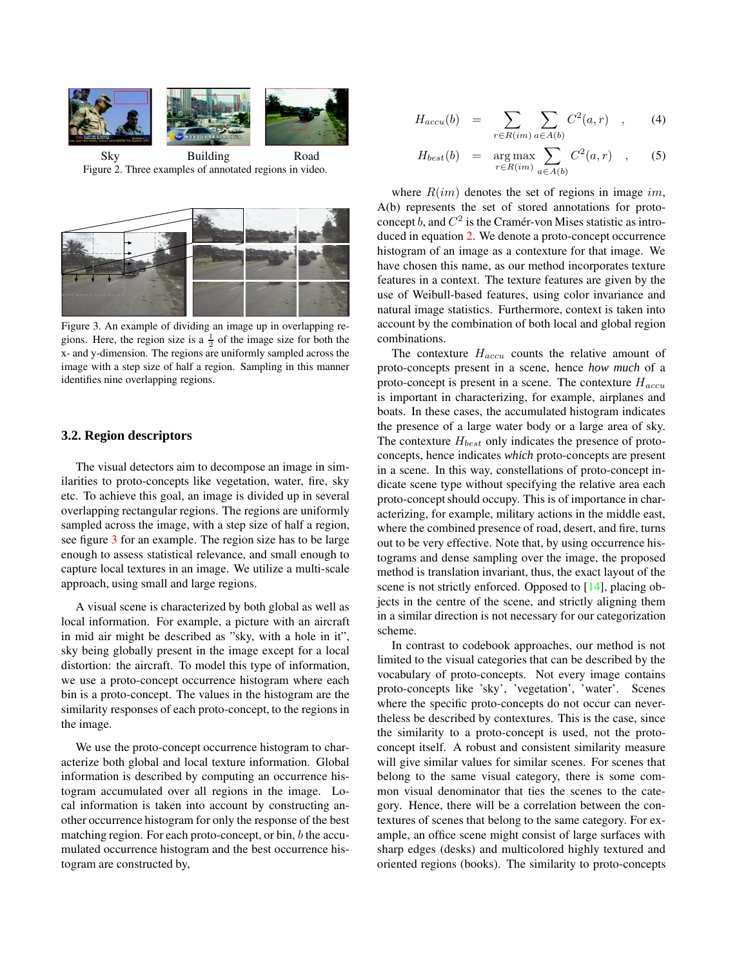<span id="page-3-2"></span>

<span id="page-3-0"></span>Sky Building Road Figure 2. Three examples of annotated regions in video.



<span id="page-3-1"></span>Figure 3. An example of dividing an image up in overlapping regions. Here, the region size is a  $\frac{1}{2}$  of the image size for both the x- and y-dimension. The regions are uniformly sampled across the image with a step size of half a region. Sampling in this manner identifies nine overlapping regions.

#### **3.2. Region descriptors**

The visual detectors aim to decompose an image in similarities to proto-concepts like vegetation, water, fire, sky etc. To achieve this goal, an image is divided up in several overlapping rectangular regions. The regions are uniformly sampled across the image, with a step size of half a region, see figure [3](#page-3-1) for an example. The region size has to be large enough to assess statistical relevance, and small enough to capture local textures in an image. We utilize a multi-scale approach, using small and large regions.

A visual scene is characterized by both global as well as local information. For example, a picture with an aircraft in mid air might be described as "sky, with a hole in it", sky being globally present in the image except for a local distortion: the aircraft. To model this type of information, we use a proto-concept occurrence histogram where each bin is a proto-concept. The values in the histogram are the similarity responses of each proto-concept, to the regions in the image.

We use the proto-concept occurrence histogram to characterize both global and local texture information. Global information is described by computing an occurrence histogram accumulated over all regions in the image. Local information is taken into account by constructing another occurrence histogram for only the response of the best matching region. For each proto-concept, or bin,  $b$  the accumulated occurrence histogram and the best occurrence histogram are constructed by,

$$
H_{accu}(b) = \sum_{r \in R(im)} \sum_{a \in A(b)} C^2(a, r) , \qquad (4)
$$

$$
H_{best}(b) = \underset{r \in R(im)}{\arg \max} \sum_{a \in A(b)} C^2(a, r) , \qquad (5)
$$

where  $R(im)$  denotes the set of regions in image im, A(b) represents the set of stored annotations for protoconcept b, and  $C^2$  is the Cramér-von Mises statistic as introduced in equation [2.](#page-2-1) We denote a proto-concept occurrence histogram of an image as a contexture for that image. We have chosen this name, as our method incorporates texture features in a context. The texture features are given by the use of Weibull-based features, using color invariance and natural image statistics. Furthermore, context is taken into account by the combination of both local and global region combinations.

The contexture  $H_{accu}$  counts the relative amount of proto-concepts present in a scene, hence *how much* of a proto-concept is present in a scene. The contexture  $H_{accu}$ is important in characterizing, for example, airplanes and boats. In these cases, the accumulated histogram indicates the presence of a large water body or a large area of sky. The contexture  $H_{best}$  only indicates the presence of protoconcepts, hence indicates *which* proto-concepts are present in a scene. In this way, constellations of proto-concept indicate scene type without specifying the relative area each proto-concept should occupy. This is of importance in characterizing, for example, military actions in the middle east, where the combined presence of road, desert, and fire, turns out to be very effective. Note that, by using occurrence histograms and dense sampling over the image, the proposed method is translation invariant, thus, the exact layout of the scene is not strictly enforced. Opposed to [\[14\]](#page-7-7), placing objects in the centre of the scene, and strictly aligning them in a similar direction is not necessary for our categorization scheme.

In contrast to codebook approaches, our method is not limited to the visual categories that can be described by the vocabulary of proto-concepts. Not every image contains proto-concepts like 'sky', 'vegetation', 'water'. Scenes where the specific proto-concepts do not occur can nevertheless be described by contextures. This is the case, since the similarity to a proto-concept is used, not the protoconcept itself. A robust and consistent similarity measure will give similar values for similar scenes. For scenes that belong to the same visual category, there is some common visual denominator that ties the scenes to the category. Hence, there will be a correlation between the contextures of scenes that belong to the same category. For example, an office scene might consist of large surfaces with sharp edges (desks) and multicolored highly textured and oriented regions (books). The similarity to proto-concepts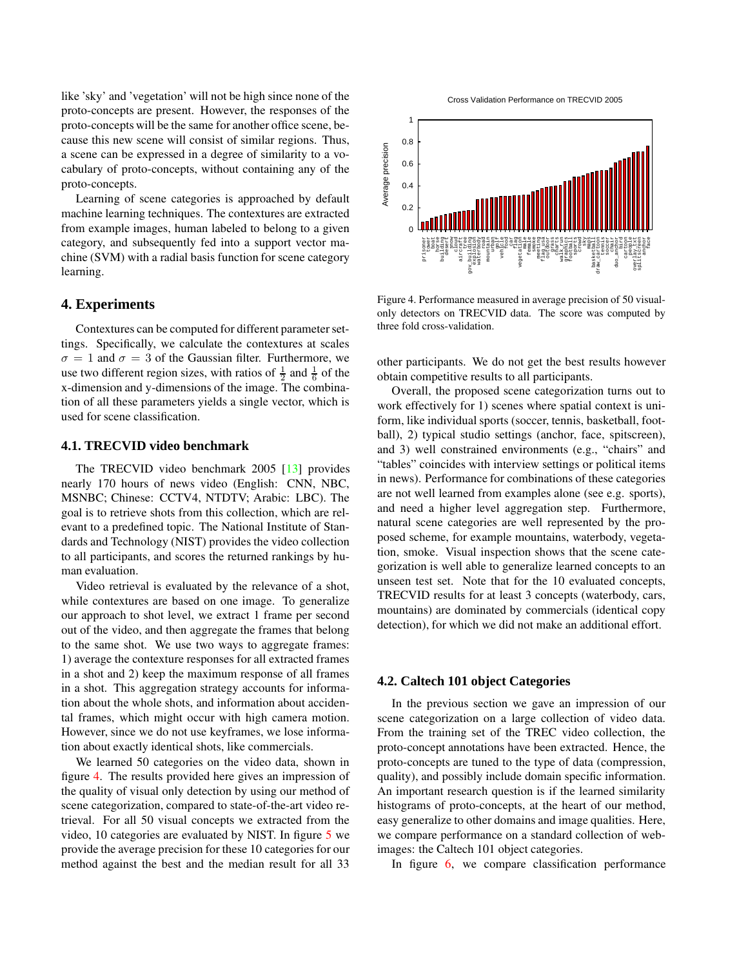<span id="page-4-2"></span>like 'sky' and 'vegetation' will not be high since none of the proto-concepts are present. However, the responses of the proto-concepts will be the same for another office scene, because this new scene will consist of similar regions. Thus, a scene can be expressed in a degree of similarity to a vocabulary of proto-concepts, without containing any of the proto-concepts.

Learning of scene categories is approached by default machine learning techniques. The contextures are extracted from example images, human labeled to belong to a given category, and subsequently fed into a support vector machine (SVM) with a radial basis function for scene category learning.

## <span id="page-4-0"></span>**4. Experiments**

Contextures can be computed for different parameter settings. Specifically, we calculate the contextures at scales  $\sigma = 1$  and  $\sigma = 3$  of the Gaussian filter. Furthermore, we use two different region sizes, with ratios of  $\frac{1}{2}$  and  $\frac{1}{6}$  of the x-dimension and y-dimensions of the image. The combination of all these parameters yields a single vector, which is used for scene classification.

#### **4.1. TRECVID video benchmark**

The TRECVID video benchmark 2005 [\[13\]](#page-7-17) provides nearly 170 hours of news video (English: CNN, NBC, MSNBC; Chinese: CCTV4, NTDTV; Arabic: LBC). The goal is to retrieve shots from this collection, which are relevant to a predefined topic. The National Institute of Standards and Technology (NIST) provides the video collection to all participants, and scores the returned rankings by human evaluation.

Video retrieval is evaluated by the relevance of a shot, while contextures are based on one image. To generalize our approach to shot level, we extract 1 frame per second out of the video, and then aggregate the frames that belong to the same shot. We use two ways to aggregate frames: 1) average the contexture responses for all extracted frames in a shot and 2) keep the maximum response of all frames in a shot. This aggregation strategy accounts for information about the whole shots, and information about accidental frames, which might occur with high camera motion. However, since we do not use keyframes, we lose information about exactly identical shots, like commercials.

We learned 50 categories on the video data, shown in figure [4.](#page-4-1) The results provided here gives an impression of the quality of visual only detection by using our method of scene categorization, compared to state-of-the-art video retrieval. For all 50 visual concepts we extracted from the video, 10 categories are evaluated by NIST. In figure [5](#page-5-0) we provide the average precision for these 10 categories for our method against the best and the median result for all 33

Cross Validation Performance on TRECVID 2005



<span id="page-4-1"></span>Figure 4. Performance measured in average precision of 50 visualonly detectors on TRECVID data. The score was computed by three fold cross-validation.

other participants. We do not get the best results however obtain competitive results to all participants.

Overall, the proposed scene categorization turns out to work effectively for 1) scenes where spatial context is uniform, like individual sports (soccer, tennis, basketball, football), 2) typical studio settings (anchor, face, spitscreen), and 3) well constrained environments (e.g., "chairs" and "tables" coincides with interview settings or political items in news). Performance for combinations of these categories are not well learned from examples alone (see e.g. sports), and need a higher level aggregation step. Furthermore, natural scene categories are well represented by the proposed scheme, for example mountains, waterbody, vegetation, smoke. Visual inspection shows that the scene categorization is well able to generalize learned concepts to an unseen test set. Note that for the 10 evaluated concepts, TRECVID results for at least 3 concepts (waterbody, cars, mountains) are dominated by commercials (identical copy detection), for which we did not make an additional effort.

#### **4.2. Caltech 101 object Categories**

In the previous section we gave an impression of our scene categorization on a large collection of video data. From the training set of the TREC video collection, the proto-concept annotations have been extracted. Hence, the proto-concepts are tuned to the type of data (compression, quality), and possibly include domain specific information. An important research question is if the learned similarity histograms of proto-concepts, at the heart of our method, easy generalize to other domains and image qualities. Here, we compare performance on a standard collection of webimages: the Caltech 101 object categories.

In figure [6,](#page-5-1) we compare classification performance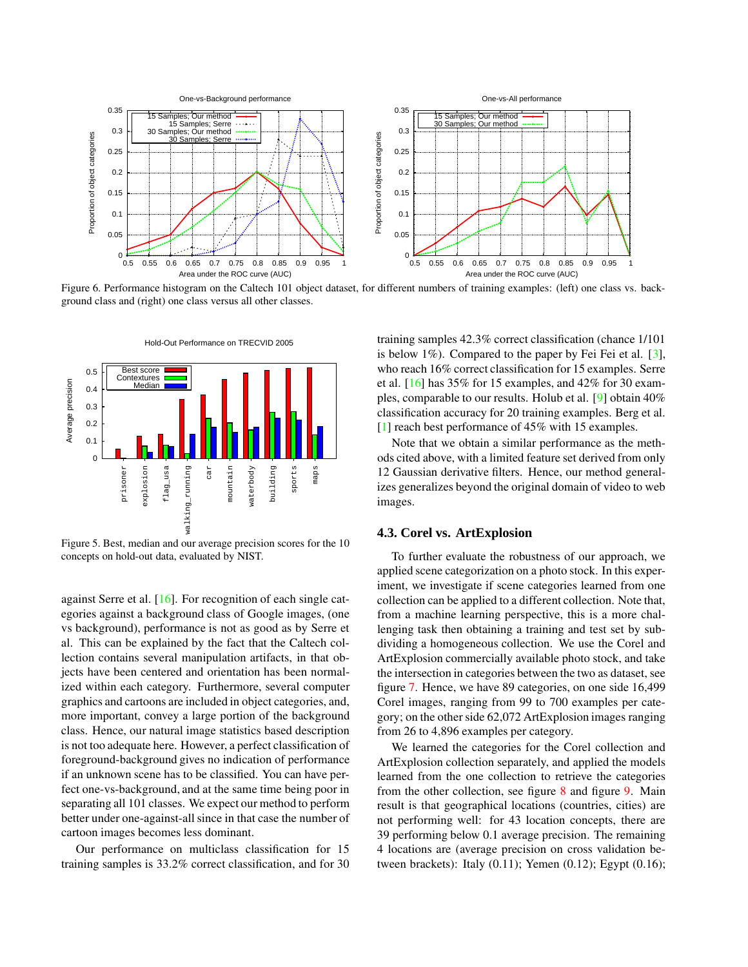<span id="page-5-2"></span>

<span id="page-5-1"></span>Figure 6. Performance histogram on the Caltech 101 object dataset, for different numbers of training examples: (left) one class vs. background class and (right) one class versus all other classes.



<span id="page-5-0"></span>Figure 5. Best, median and our average precision scores for the 10 concepts on hold-out data, evaluated by NIST.

against Serre et al. [\[16\]](#page-7-18). For recognition of each single categories against a background class of Google images, (one vs background), performance is not as good as by Serre et al. This can be explained by the fact that the Caltech collection contains several manipulation artifacts, in that objects have been centered and orientation has been normalized within each category. Furthermore, several computer graphics and cartoons are included in object categories, and, more important, convey a large portion of the background class. Hence, our natural image statistics based description is not too adequate here. However, a perfect classification of foreground-background gives no indication of performance if an unknown scene has to be classified. You can have perfect one-vs-background, and at the same time being poor in separating all 101 classes. We expect our method to perform better under one-against-all since in that case the number of cartoon images becomes less dominant.

Our performance on multiclass classification for 15 training samples is 33.2% correct classification, and for 30 training samples 42.3% correct classification (chance 1/101 is below  $1\%$ ). Compared to the paper by Fei Fei et al. [\[3\]](#page-7-0), who reach 16% correct classification for 15 examples. Serre et al. [\[16\]](#page-7-18) has 35% for 15 examples, and 42% for 30 examples, comparable to our results. Holub et al. [\[9\]](#page-7-19) obtain 40% classification accuracy for 20 training examples. Berg et al. [\[1\]](#page-7-20) reach best performance of 45% with 15 examples.

Note that we obtain a similar performance as the methods cited above, with a limited feature set derived from only 12 Gaussian derivative filters. Hence, our method generalizes generalizes beyond the original domain of video to web images.

#### **4.3. Corel vs. ArtExplosion**

To further evaluate the robustness of our approach, we applied scene categorization on a photo stock. In this experiment, we investigate if scene categories learned from one collection can be applied to a different collection. Note that, from a machine learning perspective, this is a more challenging task then obtaining a training and test set by subdividing a homogeneous collection. We use the Corel and ArtExplosion commercially available photo stock, and take the intersection in categories between the two as dataset, see figure [7.](#page-6-1) Hence, we have 89 categories, on one side 16,499 Corel images, ranging from 99 to 700 examples per category; on the other side 62,072 ArtExplosion images ranging from 26 to 4,896 examples per category.

We learned the categories for the Corel collection and ArtExplosion collection separately, and applied the models learned from the one collection to retrieve the categories from the other collection, see figure [8](#page-6-2) and figure [9.](#page-6-3) Main result is that geographical locations (countries, cities) are not performing well: for 43 location concepts, there are 39 performing below 0.1 average precision. The remaining 4 locations are (average precision on cross validation between brackets): Italy (0.11); Yemen (0.12); Egypt (0.16);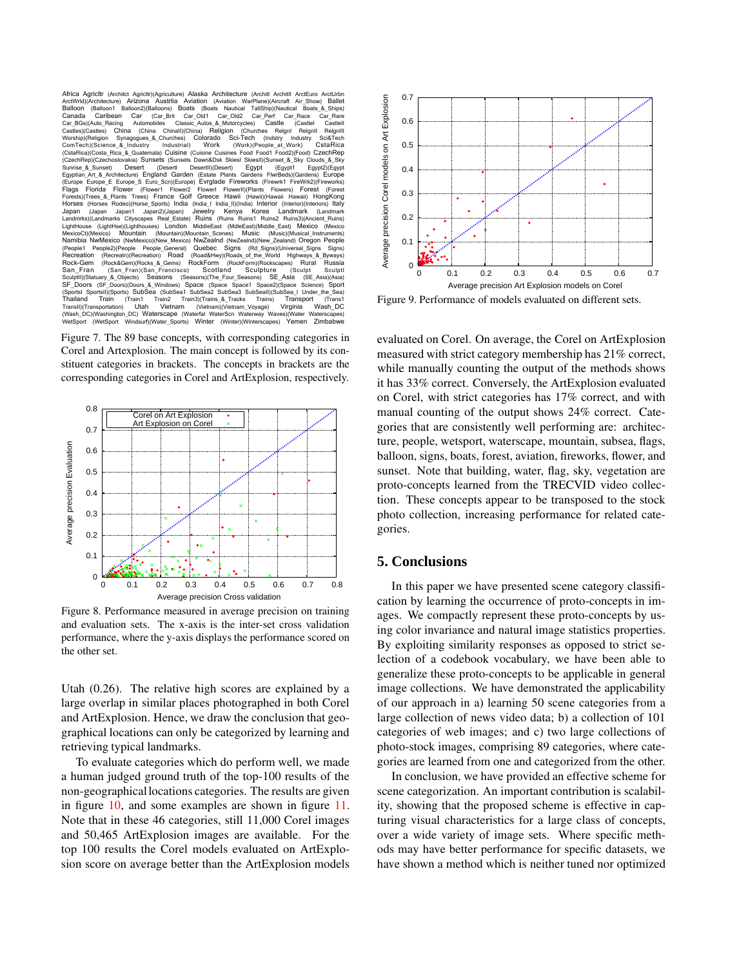Africa Agricltr (Architct Agricltr)(Agriculture) Alaska Architecture (Architl Architll ArctEuro ArctUrbn Arison Argentine Arizona Austrlia Aviation (Aviation WarPlane)(Aircraft Air\_Show) Ballet n Annon, Callicon1 Balloon2)(Balloons) Boats (Boats Nautical TallShip)(Nautical Boats & Ships)<br>Balloon (Balloon1 Balloon2)(Balloons) Boats (Boats Nautical TallShip)(Nautical Boats & Ships)<br>Car\_BGs)(Auto\_Racing Automobiles ar Turburgy, Electric<br>2 Car\_Perf Car\_Race<br>ycles) Castle (Cast<br>(Churches Relani Rek Castles)(Castles) China (China ChinaII)(China) Religion (Churches RelgnI RelgnII RelgnIII Colorado Sci-Tech<br>Colorado Sci-Tech<br>) Work (Work)(Po Nowmediate Control Costabrication Communication Communication Communication Communication Costa<br>Communication Costa\_Rica\_&\_Guatemala) Cuisine (Cuisine Cuisines Food Food1 Food2)(Food) CzechRep Continuity Computer Commissions Computer Computer Computer (New York Change and Sunsets Dawn RDsk Skies Skiesu<br>Desert (Desert Desertli)(Desert) Egypt (Egypt Egypt2)(Egypt<br>Change England Garden (Estate Plants Gardens FlwrBe Evrglade Fireworks (Europe Europe\_E Europe\_S Euro\_Scn)(Europe) (Firewrk1 FireWrk2)(Fireworks) Flags Florida Flower Forest France Golf Greece Hawii HongKong (Flower1 Flower2 FlowerI FlowerII)(Plants Flowers) (Forest Forests)(Trees\_&\_Plants Trees) (Hawii)(Hawaii Hawaii) Horses (Horses Rodeo)(Horse\_Sports) India (India\_II)(India) Interior (Interior)(Interiors) Italy Japan Japan Japan Japan Jewelry Kenya Korea Landmark<br>Landmrks)(Landmarks Cityscapes Real\_Estate) Ruins (Ruins Ruins1 Ruins2 Ruins3)(Ancie<br>LightHouse (LightHose)(Lighthouses) London MiddleEast (MileEast)(Mickide\_East) Mexic Mexicoor, Mexico (NwMexico)(New\_Mexico) NwZealnd (NwZealnd)(New\_Zealand) Oregon People Quebec **TREPLAN TRANSIST (Reple Teams)**<br>Recreation (Recreation) Road<br>Rock-Gem (Rock&Gem)(Rocks & Gems) Rock-Gem (Rock&Gem)(Rocks\_&\_Gems) RockForm (RockForm)(Rockscapes) Rural Russia San\_Fran (San\_Fran)(San\_Francisco) Scotland Sculpture (Sculpt Sculpt:<br>San\_Fran (San\_Fran)(San\_Francisco) Scotland Sculpture (Sculpt Sculpt<br>SculptII)(Statuary\_&\_Objects) Seasons (Seasons)(The\_Four\_Seasons) SE\_Asia (SE\_Asia Scotland Sculpture (Sculpt<br>
sons)(The\_Four\_Seasons) SE\_Asia (SE Starphilon Charles Controller (Scalemer (Controller Controller Controller Controller Controller Controller Space Science) Sport SubSea (SportsI SportsII)(Sports) (SubSea1 SubSea2 SubSea3 SubSeaII)(SubSea\_I Under\_the\_Sea) Thailand Train Transport (Train1 Train2 Train3)(Trains\_&\_Tracks Trains) (Trans1 TransII)(Transportation) Utah Vietnam (Vietnam)(Vietnam\_Voyage) Virginia Wash\_DC Waterscape (Wash\_DC)(Washington\_DC) (Waterfal WaterScn Waterway Waves)(Water Waterscapes) WetSport (WetSport Windsurf)(Water\_Sports) Winter (Winter)(Winterscapes) Yemen Zimbabwe Worship)(Religion Synagogue<u>s & C</u>hurches) Colorado Sci-Tech (Indstry Industry Sci&Tech<br>ComTech)(Science\_&\_Industry Industrial) Work (Work)(People\_at\_Work) CstaRica .<br>(CzechRep)(Czechoslovakia) Sunsets (Sunsets Dawn&Dsk SkiesI SkiesII)(Sunset\_&\_Sky Clouds\_&\_Sky)<br>Sunrise\_&\_Sunset) Desert (DesertI DesertII)(Desert) Egypt (Egypt1 Egypt2)<br>Egyptian\_Art\_&\_Architecture) England Japan (Japan Japan1 Japan2)(Japan) Jewelry Kenya Korea Landmark (Landmark<br>Landmrks)(Landmarks Cityscapes Real\_Estate) Ruins (Ruins Ruins1 Ruins2 Ruins3)(Ancient\_Ruins)<br>LightHouse (LightHse)(Lighthouses) London MiddleEast ( (Wateling/Wew\_Edenia) Cregor People<br>Signs (Rd\_Signs)(Universal\_Signs Signs (Road&Hwy)(Roads\_of\_the\_World Highways\_&\_Byways)<br>RockForm (RockForm)(Rockscapes) Rural Russia

<span id="page-6-1"></span>Figure 7. The 89 base concepts, with corresponding categories in Corel and Artexplosion. The main concept is followed by its constituent categories in brackets. The concepts in brackets are the corresponding categories in Corel and ArtExplosion, respectively.



<span id="page-6-2"></span>Figure 8. Performance measured in average precision on training and evaluation sets. The x-axis is the inter-set cross validation performance, where the y-axis displays the performance scored on the other set.

Utah (0.26). The relative high scores are explained by a large overlap in similar places photographed in both Corel and ArtExplosion. Hence, we draw the conclusion that geographical locations can only be categorized by learning and retrieving typical landmarks.

To evaluate categories which do perform well, we made a human judged ground truth of the top-100 results of the non-geographicallocations categories. The results are given in figure [10,](#page-7-21) and some examples are shown in figure [11.](#page-7-22) Note that in these 46 categories, still 11,000 Corel images and 50,465 ArtExplosion images are available. For the top 100 results the Corel models evaluated on ArtExplosion score on average better than the ArtExplosion models



<span id="page-6-3"></span>Figure 9. Performance of models evaluated on different sets.

evaluated on Corel. On average, the Corel on ArtExplosion measured with strict category membership has 21% correct, while manually counting the output of the methods shows it has 33% correct. Conversely, the ArtExplosion evaluated on Corel, with strict categories has 17% correct, and with manual counting of the output shows 24% correct. Categories that are consistently well performing are: architecture, people, wetsport, waterscape, mountain, subsea, flags, balloon, signs, boats, forest, aviation, fireworks, flower, and sunset. Note that building, water, flag, sky, vegetation are proto-concepts learned from the TRECVID video collection. These concepts appear to be transposed to the stock photo collection, increasing performance for related categories.

## <span id="page-6-0"></span>**5. Conclusions**

In this paper we have presented scene category classification by learning the occurrence of proto-concepts in images. We compactly represent these proto-concepts by using color invariance and natural image statistics properties. By exploiting similarity responses as opposed to strict selection of a codebook vocabulary, we have been able to generalize these proto-concepts to be applicable in general image collections. We have demonstrated the applicability of our approach in a) learning 50 scene categories from a large collection of news video data; b) a collection of 101 categories of web images; and c) two large collections of photo-stock images, comprising 89 categories, where categories are learned from one and categorized from the other.

In conclusion, we have provided an effective scheme for scene categorization. An important contribution is scalability, showing that the proposed scheme is effective in capturing visual characteristics for a large class of concepts, over a wide variety of image sets. Where specific methods may have better performance for specific datasets, we have shown a method which is neither tuned nor optimized